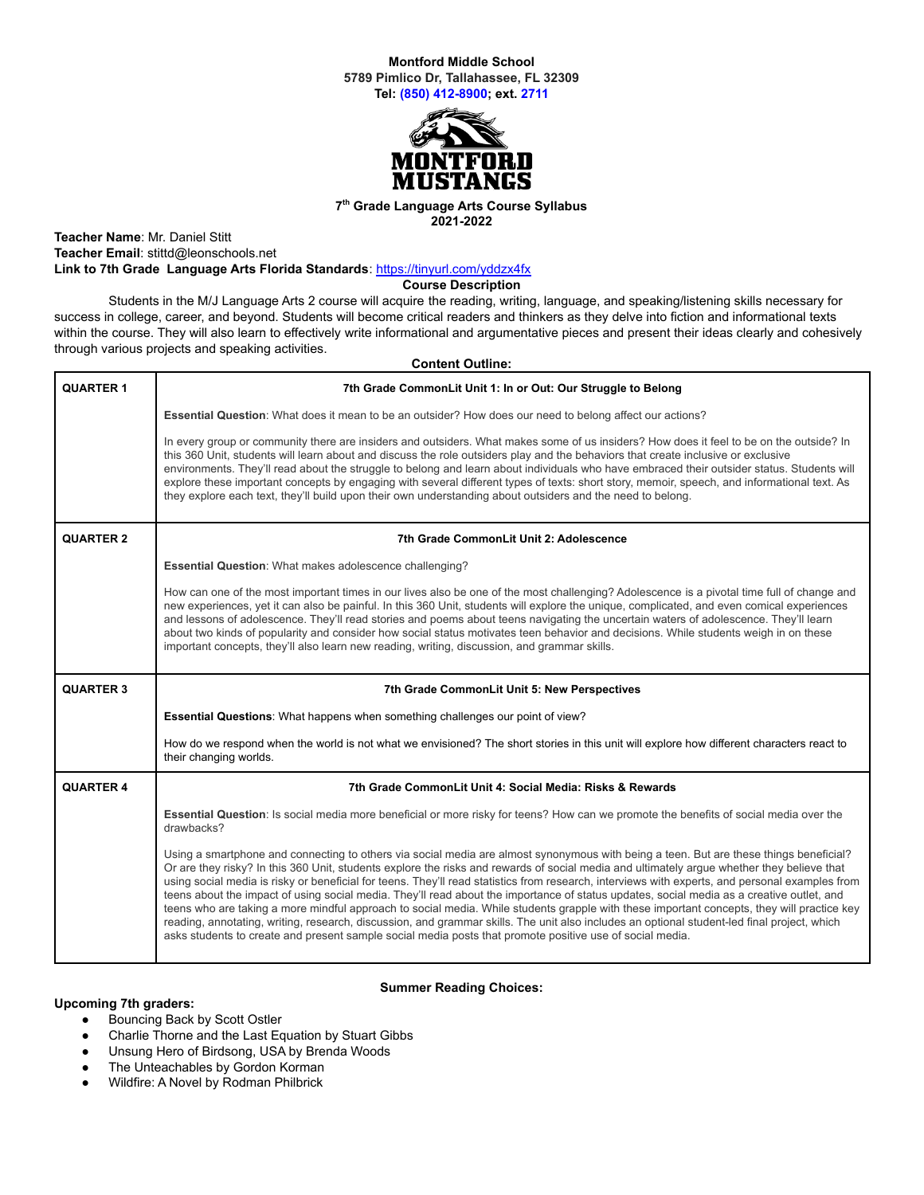# **Montford Middle School 5789 Pimlico Dr, Tallahassee, FL 32309 Tel: (850) [412-8900](https://www.google.com/search?q=montford+middle+school+tallahassee&rlz=1C1GCEA_enUS965&oq=montfor&aqs=chrome.0.69i59j69i57j46i131i175i199i433i512j0i512l3j69i60l2.2784j0j7&sourceid=chrome&ie=UTF-8&safe=active&surl=1#); ext. 2711**



#### **7 th Grade Language Arts Course Syllabus 2021-2022**

**Teacher Name**: Mr. Daniel Stitt **Teacher Email**: stittd@leonschools.net **Link to 7th Grade Language Arts Florida Standards**: <https://tinyurl.com/yddzx4fx>

**Course Description**

Students in the M/J Language Arts 2 course will acquire the reading, writing, language, and speaking/listening skills necessary for success in college, career, and beyond. Students will become critical readers and thinkers as they delve into fiction and informational texts within the course. They will also learn to effectively write informational and argumentative pieces and present their ideas clearly and cohesively through various projects and speaking activities.

| <b>Content Outline:</b> |                                                                                                                                                                                                                                                                                                                                                                                                                                                                                                                                                                                                                                                                                                                                                                                                                                                                                                                                                                                               |
|-------------------------|-----------------------------------------------------------------------------------------------------------------------------------------------------------------------------------------------------------------------------------------------------------------------------------------------------------------------------------------------------------------------------------------------------------------------------------------------------------------------------------------------------------------------------------------------------------------------------------------------------------------------------------------------------------------------------------------------------------------------------------------------------------------------------------------------------------------------------------------------------------------------------------------------------------------------------------------------------------------------------------------------|
| <b>QUARTER 1</b>        | 7th Grade CommonLit Unit 1: In or Out: Our Struggle to Belong                                                                                                                                                                                                                                                                                                                                                                                                                                                                                                                                                                                                                                                                                                                                                                                                                                                                                                                                 |
|                         | Essential Question: What does it mean to be an outsider? How does our need to belong affect our actions?                                                                                                                                                                                                                                                                                                                                                                                                                                                                                                                                                                                                                                                                                                                                                                                                                                                                                      |
|                         | In every group or community there are insiders and outsiders. What makes some of us insiders? How does it feel to be on the outside? In<br>this 360 Unit, students will learn about and discuss the role outsiders play and the behaviors that create inclusive or exclusive<br>environments. They'll read about the struggle to belong and learn about individuals who have embraced their outsider status. Students will<br>explore these important concepts by engaging with several different types of texts: short story, memoir, speech, and informational text. As<br>they explore each text, they'll build upon their own understanding about outsiders and the need to belong.                                                                                                                                                                                                                                                                                                       |
| <b>QUARTER 2</b>        | 7th Grade CommonLit Unit 2: Adolescence                                                                                                                                                                                                                                                                                                                                                                                                                                                                                                                                                                                                                                                                                                                                                                                                                                                                                                                                                       |
|                         | <b>Essential Question:</b> What makes adolescence challenging?                                                                                                                                                                                                                                                                                                                                                                                                                                                                                                                                                                                                                                                                                                                                                                                                                                                                                                                                |
|                         | How can one of the most important times in our lives also be one of the most challenging? Adolescence is a pivotal time full of change and<br>new experiences, yet it can also be painful. In this 360 Unit, students will explore the unique, complicated, and even comical experiences<br>and lessons of adolescence. They'll read stories and poems about teens navigating the uncertain waters of adolescence. They'll learn<br>about two kinds of popularity and consider how social status motivates teen behavior and decisions. While students weigh in on these<br>important concepts, they'll also learn new reading, writing, discussion, and grammar skills.                                                                                                                                                                                                                                                                                                                      |
| <b>QUARTER 3</b>        | 7th Grade CommonLit Unit 5: New Perspectives                                                                                                                                                                                                                                                                                                                                                                                                                                                                                                                                                                                                                                                                                                                                                                                                                                                                                                                                                  |
|                         | <b>Essential Questions:</b> What happens when something challenges our point of view?                                                                                                                                                                                                                                                                                                                                                                                                                                                                                                                                                                                                                                                                                                                                                                                                                                                                                                         |
|                         | How do we respond when the world is not what we envisioned? The short stories in this unit will explore how different characters react to<br>their changing worlds.                                                                                                                                                                                                                                                                                                                                                                                                                                                                                                                                                                                                                                                                                                                                                                                                                           |
| <b>QUARTER 4</b>        | 7th Grade CommonLit Unit 4: Social Media: Risks & Rewards                                                                                                                                                                                                                                                                                                                                                                                                                                                                                                                                                                                                                                                                                                                                                                                                                                                                                                                                     |
|                         | Essential Question: Is social media more beneficial or more risky for teens? How can we promote the benefits of social media over the<br>drawbacks?                                                                                                                                                                                                                                                                                                                                                                                                                                                                                                                                                                                                                                                                                                                                                                                                                                           |
|                         | Using a smartphone and connecting to others via social media are almost synonymous with being a teen. But are these things beneficial?<br>Or are they risky? In this 360 Unit, students explore the risks and rewards of social media and ultimately argue whether they believe that<br>using social media is risky or beneficial for teens. They'll read statistics from research, interviews with experts, and personal examples from<br>teens about the impact of using social media. They'll read about the importance of status updates, social media as a creative outlet, and<br>teens who are taking a more mindful approach to social media. While students grapple with these important concepts, they will practice key<br>reading, annotating, writing, research, discussion, and grammar skills. The unit also includes an optional student-led final project, which<br>asks students to create and present sample social media posts that promote positive use of social media. |

# **Summer Reading Choices:**

# **Upcoming 7th graders:**

- Bouncing Back by Scott Ostler
- Charlie Thorne and the Last Equation by Stuart Gibbs
- Unsung Hero of Birdsong, USA by Brenda Woods
- The Unteachables by Gordon Korman
- Wildfire: A Novel by Rodman Philbrick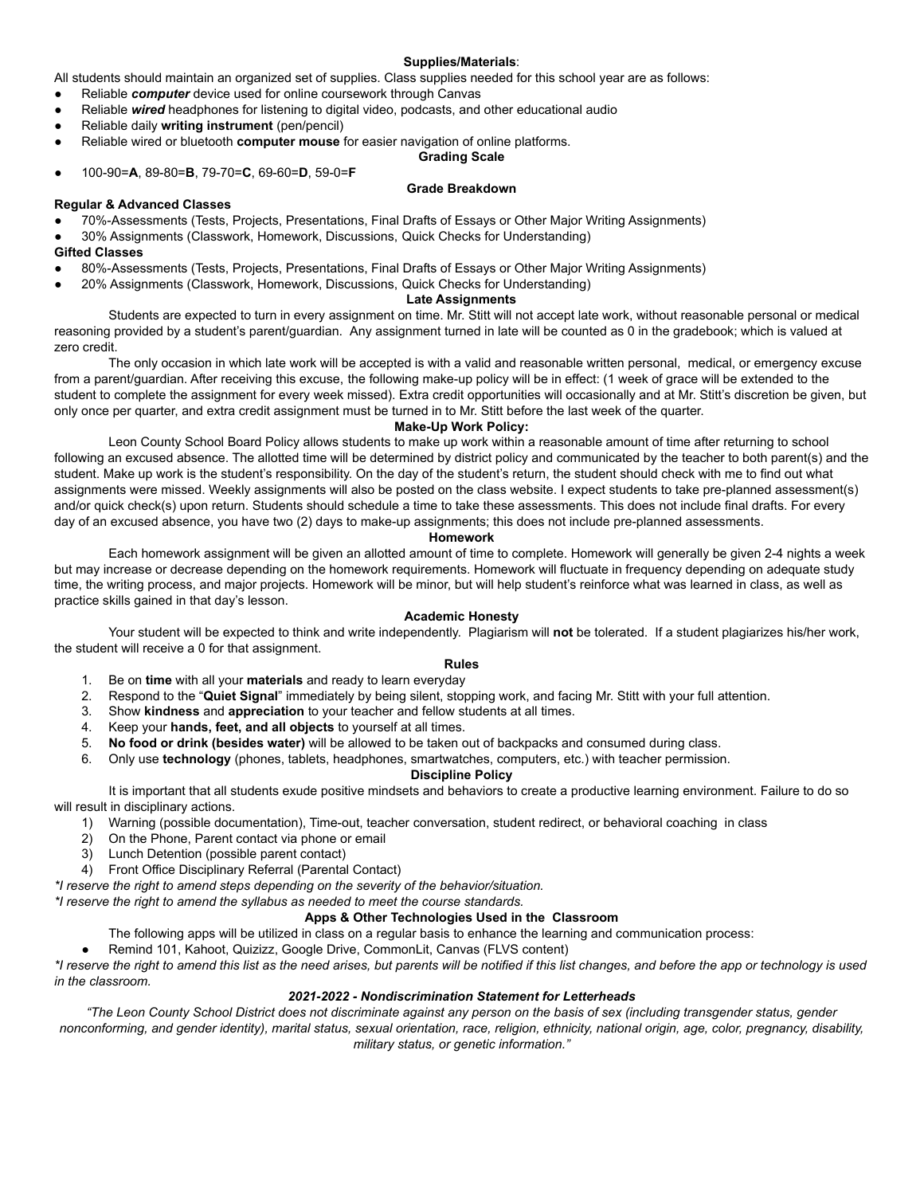#### **Supplies/Materials**:

All students should maintain an organized set of supplies. Class supplies needed for this school year are as follows:

- Reliable *computer* device used for online coursework through Canvas
- Reliable *wired* headphones for listening to digital video, podcasts, and other educational audio
- Reliable daily **writing instrument** (pen/pencil)
- Reliable wired or bluetooth **computer mouse** for easier navigation of online platforms.

### **Grading Scale**

● 100-90=**A**, 89-80=**B**, 79-70=**C**, 69-60=**D**, 59-0=**F**

# **Grade Breakdown**

### **Regular & Advanced Classes**

- 70%-Assessments (Tests, Projects, Presentations, Final Drafts of Essays or Other Major Writing Assignments)
- 30% Assignments (Classwork, Homework, Discussions, Quick Checks for Understanding)

### **Gifted Classes**

- 80%-Assessments (Tests, Projects, Presentations, Final Drafts of Essays or Other Major Writing Assignments)
- 20% Assignments (Classwork, Homework, Discussions, Quick Checks for Understanding)

## **Late Assignments**

Students are expected to turn in every assignment on time. Mr. Stitt will not accept late work, without reasonable personal or medical reasoning provided by a student's parent/guardian. Any assignment turned in late will be counted as 0 in the gradebook; which is valued at zero credit.

The only occasion in which late work will be accepted is with a valid and reasonable written personal, medical, or emergency excuse from a parent/guardian. After receiving this excuse, the following make-up policy will be in effect: (1 week of grace will be extended to the student to complete the assignment for every week missed). Extra credit opportunities will occasionally and at Mr. Stitt's discretion be given, but only once per quarter, and extra credit assignment must be turned in to Mr. Stitt before the last week of the quarter.

### **Make-Up Work Policy:**

Leon County School Board Policy allows students to make up work within a reasonable amount of time after returning to school following an excused absence. The allotted time will be determined by district policy and communicated by the teacher to both parent(s) and the student. Make up work is the student's responsibility. On the day of the student's return, the student should check with me to find out what assignments were missed. Weekly assignments will also be posted on the class website. I expect students to take pre-planned assessment(s) and/or quick check(s) upon return. Students should schedule a time to take these assessments. This does not include final drafts. For every day of an excused absence, you have two (2) days to make-up assignments; this does not include pre-planned assessments.

## **Homework**

Each homework assignment will be given an allotted amount of time to complete. Homework will generally be given 2-4 nights a week but may increase or decrease depending on the homework requirements. Homework will fluctuate in frequency depending on adequate study time, the writing process, and major projects. Homework will be minor, but will help student's reinforce what was learned in class, as well as practice skills gained in that day's lesson.

#### **Academic Honesty**

Your student will be expected to think and write independently. Plagiarism will **not** be tolerated. If a student plagiarizes his/her work, the student will receive a 0 for that assignment.

#### **Rules**

- 1. Be on **time** with all your **materials** and ready to learn everyday
- 2. Respond to the "**Quiet Signal**" immediately by being silent, stopping work, and facing Mr. Stitt with your full attention.
- 3. Show **kindness** and **appreciation** to your teacher and fellow students at all times.
- 4. Keep your **hands, feet, and all objects** to yourself at all times.
- 5. **No food or drink (besides water)** will be allowed to be taken out of backpacks and consumed during class.
- 6. Only use **technology** (phones, tablets, headphones, smartwatches, computers, etc.) with teacher permission.

#### **Discipline Policy**

It is important that all students exude positive mindsets and behaviors to create a productive learning environment. Failure to do so will result in disciplinary actions.

- 1) Warning (possible documentation), Time-out, teacher conversation, student redirect, or behavioral coaching in class
- 2) On the Phone, Parent contact via phone or email
- 3) Lunch Detention (possible parent contact)
- 4) Front Office Disciplinary Referral (Parental Contact)

*\*I reserve the right to amend steps depending on the severity of the behavior/situation.*

*\*I reserve the right to amend the syllabus as needed to meet the course standards.*

#### **Apps & Other Technologies Used in the Classroom**

The following apps will be utilized in class on a regular basis to enhance the learning and communication process:

Remind 101, Kahoot, Quizizz, Google Drive, CommonLit, Canvas (FLVS content)

\*I reserve the right to amend this list as the need arises, but parents will be notified if this list changes, and before the app or technology is used *in the classroom.*

### *2021-2022 - Nondiscrimination Statement for Letterheads*

"The Leon County School District does not discriminate against any person on the basis of sex (including transgender status, gender nonconforming, and gender identity), marital status, sexual orientation, race, religion, ethnicity, national origin, age, color, pregnancy, disability, *military status, or genetic information."*